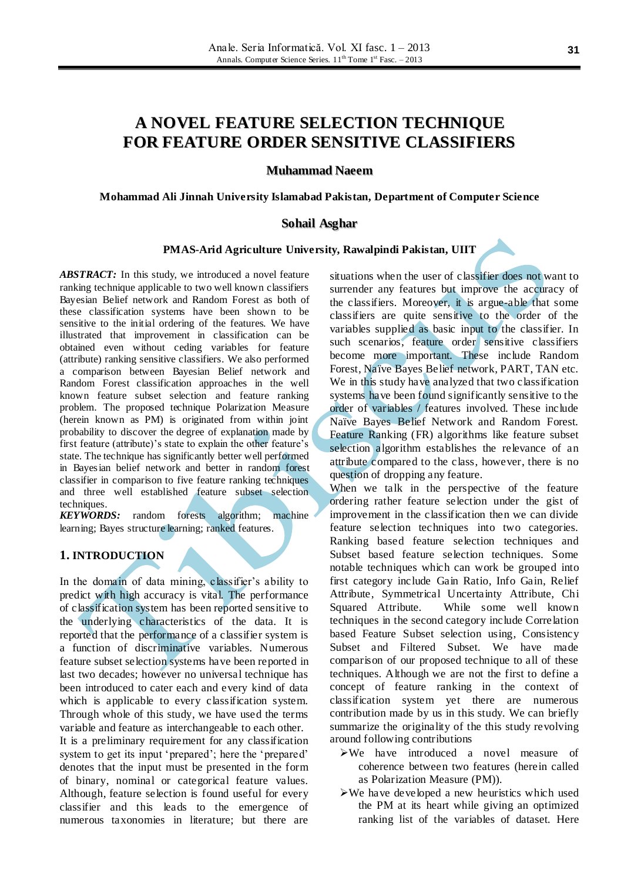# **A NOVEL FEATURE SELECTION TECHNIQUE FOR FEATURE ORDER SENSITIVE CLASSIFIERS**

#### **Muhammad Naeem**

#### **Mohammad Ali Jinnah University Islamabad Pakistan, Department of Computer Science**

#### **Sohail Asghar**

#### **PMAS-Arid Agriculture University, Rawalpindi Pakistan, UIIT**

*ABSTRACT:* In this study, we introduced a novel feature ranking technique applicable to two well known classifiers Bayesian Belief network and Random Forest as both of these classification systems have been shown to be sensitive to the initial ordering of the features. We have illustrated that improvement in classification can be obtained even without ceding variables for feature (attribute) ranking sensitive classifiers. We also performed a comparison between Bayesian Belief network and Random Forest classification approaches in the well known feature subset selection and feature ranking problem. The proposed technique Polarization Measure (herein known as PM) is originated from within joint probability to discover the degree of explanation made by first feature (attribute)'s state to explain the other feature's state. The technique has significantly better well performed in Bayesian belief network and better in random forest classifier in comparison to five feature ranking techniques and three well established feature subset selection techniques.

*KEYWORDS:* random forests algorithm; machine learning; Bayes structure learning; ranked features.

### **1. INTRODUCTION**

In the domain of data mining, classifier's ability to predict with high accuracy is vital. The performance of classification system has been reported sensitive to the underlying characteristics of the data. It is reported that the performance of a classifier system is a function of discriminative variables. Numerous feature subset selection systems have been reported in last two decades; however no universal technique has been introduced to cater each and every kind of data which is applicable to every classification system. Through whole of this study, we have used the terms variable and feature as interchangeable to each other. It is a preliminary requirement for any classification system to get its input 'prepared'; here the 'prepared' denotes that the input must be presented in the form of binary, nominal or categorical feature values.

Although, feature selection is found useful for every classifier and this leads to the emergence of numerous taxonomies in literature; but there are

situations when the user of classifier does not want to surrender any features but improve the accuracy of the classifiers. Moreover, it is argue-able that some classifiers are quite sensitive to the order of the variables supplied as basic input to the classifier. In such scenarios, feature order sensitive classifiers become more important. These include Random Forest, Naïve Bayes Belief network, PART, TAN etc. We in this study have analyzed that two classification systems have been found significantly sensitive to the order of variables / features involved. These include Naïve Bayes Belief Network and Random Forest. Feature Ranking (FR) algorithms like feature subset selection algorithm establishes the relevance of an attribute compared to the class, however, there is no question of dropping any feature.

When we talk in the perspective of the feature ordering rather feature selection under the gist of improvement in the classification then we can divide feature selection techniques into two categories. Ranking based feature selection techniques and Subset based feature selection techniques. Some notable techniques which can work be grouped into first category include Gain Ratio, Info Gain, Relief Attribute, Symmetrical Uncertainty Attribute, Chi Squared Attribute. While some well known techniques in the second category include Correlation based Feature Subset selection using, Consistency Subset and Filtered Subset. We have made comparison of our proposed technique to all of these techniques. Although we are not the first to define a concept of feature ranking in the context of classification system yet there are numerous contribution made by us in this study. We can briefly summarize the originality of the this study revolving around following contributions

- We have introduced a novel measure of coherence between two features (herein called as Polarization Measure (PM)).
- $\triangleright$ We have developed a new heuristics which used the PM at its heart while giving an optimized ranking list of the variables of dataset. Here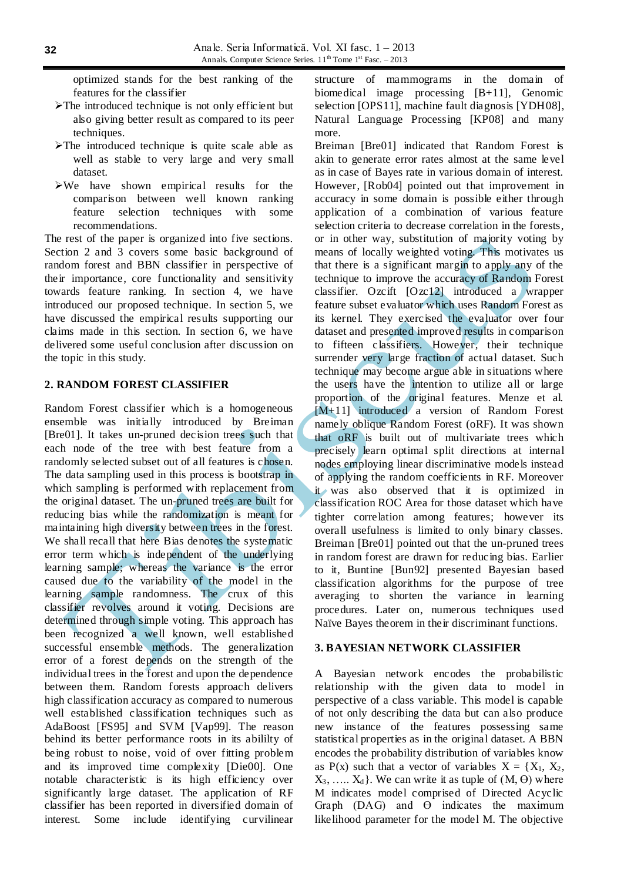optimized stands for the best ranking of the features for the classifier

- $\triangleright$  The introduced technique is not only efficient but also giving better result as compared to its peer techniques.
- $\triangleright$ The introduced technique is quite scale able as well as stable to very large and very small dataset.
- We have shown empirical results for the comparison between well known ranking feature selection techniques with some recommendations.

The rest of the paper is organized into five sections. Section 2 and 3 covers some basic background of random forest and BBN classifier in perspective of their importance, core functionality and sensitivity towards feature ranking. In section 4, we have introduced our proposed technique. In section 5, we have discussed the empirical results supporting our claims made in this section. In section 6, we have delivered some useful conclusion after discussion on the topic in this study.

#### **2. RANDOM FOREST CLASSIFIER**

Random Forest classifier which is a homogeneous ensemble was initially introduced by Breiman [Bre01]. It takes un-pruned decision trees such that each node of the tree with best feature from a randomly selected subset out of all features is chosen. The data sampling used in this process is bootstrap in which sampling is performed with replacement from the original dataset. The un-pruned trees are built for reducing bias while the randomization is meant for maintaining high diversity between trees in the forest. We shall recall that here Bias denotes the systematic error term which is independent of the underlying learning sample; whereas the variance is the error caused due to the variability of the model in the learning sample randomness. The crux of this classifier revolves around it voting. Decisions are determined through simple voting. This approach has been recognized a well known, well established successful ensemble methods. The generalization error of a forest depends on the strength of the individual trees in the forest and upon the dependence between them. Random forests approach delivers high classification accuracy as compared to numerous well established classification techniques such as AdaBoost [FS95] and SVM [Vap99]. The reason behind its better performance roots in its abililty of being robust to noise, void of over fitting problem and its improved time complexity [Die00]. One notable characteristic is its high efficiency over significantly large dataset. The application of RF classifier has been reported in diversified domain of interest. Some include identifying curvilinear

structure of mammograms in the domain of biomedical image processing [B+11], Genomic selection [OPS11], machine fault diagnosis [YDH08], Natural Language Processing [KP08] and many more.

Breiman [Bre01] indicated that Random Forest is akin to generate error rates almost at the same level as in case of Bayes rate in various domain of interest. However, [Rob04] pointed out that improvement in accuracy in some domain is possible either through application of a combination of various feature selection criteria to decrease correlation in the forests, or in other way, substitution of majority voting by means of locally weighted voting. This motivates us that there is a significant margin to apply any of the technique to improve the accuracy of Random Forest classifier. Ozcift [Ozc12] introduced a wrapper feature subset evaluator which uses Random Forest as its kernel. They exercised the evaluator over four dataset and presented improved results in comparison to fifteen classifiers. However, their technique surrender very large fraction of actual dataset. Such technique may become argue able in situations where the users have the intention to utilize all or large proportion of the original features. Menze et al. [M+11] introduced a version of Random Forest namely oblique Random Forest (oRF). It was shown that oRF is built out of multivariate trees which precisely learn optimal split directions at internal nodes employing linear discriminative models instead of applying the random coefficients in RF. Moreover it was also observed that it is optimized in classification ROC Area for those dataset which have tighter correlation among features; however its overall usefulness is limited to only binary classes. Breiman [Bre01] pointed out that the un-pruned trees in random forest are drawn for reducing bias. Earlier to it, Buntine [Bun92] presented Bayesian based classification algorithms for the purpose of tree averaging to shorten the variance in learning procedures. Later on, numerous techniques used Naïve Bayes theorem in their discriminant functions.

#### **3. BAYESIAN NETWORK CLASSIFIER**

A Bayesian network encodes the probabilistic relationship with the given data to model in perspective of a class variable. This model is capable of not only describing the data but can also produce new instance of the features possessing same statistical properties as in the original dataset. A BBN encodes the probability distribution of variables know as P(x) such that a vector of variables  $X = \{X_1, X_2, \ldots\}$  $X_3, \ldots, X_d$ . We can write it as tuple of  $(M, \Theta)$  where M indicates model comprised of Directed Acyclic Graph (DAG) and  $\Theta$  indicates the maximum likelihood parameter for the model M. The objective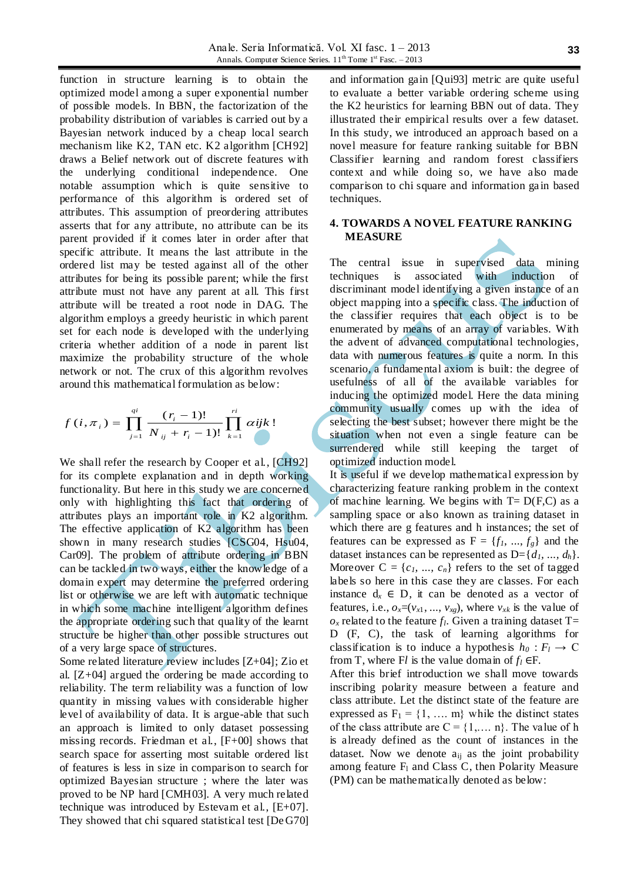function in structure learning is to obtain the optimized model among a super exponential number of possible models. In BBN, the factorization of the probability distribution of variables is carried out by a Bayesian network induced by a cheap local search mechanism like K2, TAN etc. K2 algorithm [CH92] draws a Belief network out of discrete features with the underlying conditional independence. One notable assumption which is quite sensitive to performance of this algorithm is ordered set of attributes. This assumption of preordering attributes asserts that for any attribute, no attribute can be its parent provided if it comes later in order after that specific attribute. It means the last attribute in the ordered list may be tested against all of the other attributes for being its possible parent; while the first attribute must not have any parent at all. This first attribute will be treated a root node in DAG. The algorithm employs a greedy heuristic in which parent set for each node is developed with the underlying criteria whether addition of a node in parent list maximize the probability structure of the whole network or not. The crux of this algorithm revolves around this mathematical formulation as below:

$$
f(i, \pi_i) = \prod_{j=1}^{qi} \frac{(r_i - 1)!}{N_{ij} + r_i - 1)!} \prod_{k=1}^{ri} \alpha ijk!
$$

We shall refer the research by Cooper et al., [CH92] for its complete explanation and in depth working functionality. But here in this study we are concerned only with highlighting this fact that ordering of attributes plays an important role in K2 algorithm. The effective application of K2 algorithm has been shown in many research studies [CSG04, Hsu04, Car09]. The problem of attribute ordering in BBN can be tackled in two ways, either the knowledge of a domain expert may determine the preferred ordering list or otherwise we are left with automatic technique in which some machine intelligent algorithm defines the appropriate ordering such that quality of the learnt structure be higher than other possible structures out of a very large space of structures.

Some related literature review includes [Z+04]; Zio et al. [Z+04] argued the ordering be made according to reliability. The term reliability was a function of low quantity in missing values with considerable higher level of availability of data. It is argue-able that such an approach is limited to only dataset possessing missing records. Friedman et al., [F+00] shows that search space for asserting most suitable ordered list of features is less in size in comparison to search for optimized Bayesian structure ; where the later was proved to be NP hard [CMH03]. A very much related technique was introduced by Estevam et al., [E+07]. They showed that chi squared statistical test [DeG70]

and information gain [Qui93] metric are quite useful to evaluate a better variable ordering scheme using the K2 heuristics for learning BBN out of data. They illustrated their empirical results over a few dataset. In this study, we introduced an approach based on a novel measure for feature ranking suitable for BBN Classifier learning and random forest classifiers context and while doing so, we have also made comparison to chi square and information ga in based techniques.

#### **4. TOWARDS A NOVEL FEATURE RANKING MEASURE**

The central issue in supervised data mining techniques is associated with induction of discriminant model identifying a given instance of an object mapping into a specific class. The induction of the classifier requires that each object is to be enumerated by means of an array of variables. With the advent of advanced computational technologies, data with numerous features is quite a norm. In this scenario, a fundamental axiom is built: the degree of usefulness of all of the available variables for inducing the optimized model. Here the data mining community usually comes up with the idea of selecting the best subset; however there might be the situation when not even a single feature can be surrendered while still keeping the target of optimized induction model.

It is useful if we develop mathematical expression by characterizing feature ranking problem in the context of machine learning. We begins with  $T = D(F,C)$  as a sampling space or also known as training dataset in which there are g features and h instances; the set of features can be expressed as  $F = \{f_1, ..., f_g\}$  and the dataset instances can be represented as  $D = \{d_1, ..., d_h\}.$ Moreover  $C = \{c_1, ..., c_n\}$  refers to the set of tagged labels so here in this case they are classes. For each instance  $d_x \in D$ , it can be denoted as a vector of features, i.e.,  $o_x=(v_{x1}, ..., v_{xg})$ , where  $v_{xk}$  is the value of  $o_x$  related to the feature  $f_l$ . Given a training dataset T= D (F, C), the task of learning algorithms for classification is to induce a hypothesis  $h_0: F_l \to \mathbb{C}$ from T, where F*l* is the value domain of  $f_l$  ∈F.

After this brief introduction we shall move towards inscribing polarity measure between a feature and class attribute. Let the distinct state of the feature are expressed as  $F_1 = \{1, \dots, m\}$  while the distinct states of the class attribute are  $C = \{1, \ldots, n\}$ . The value of h is already defined as the count of instances in the dataset. Now we denote  $a_{ii}$  as the joint probability among feature  $F_1$  and Class C, then Polarity Measure (PM) can be mathematically denoted as below: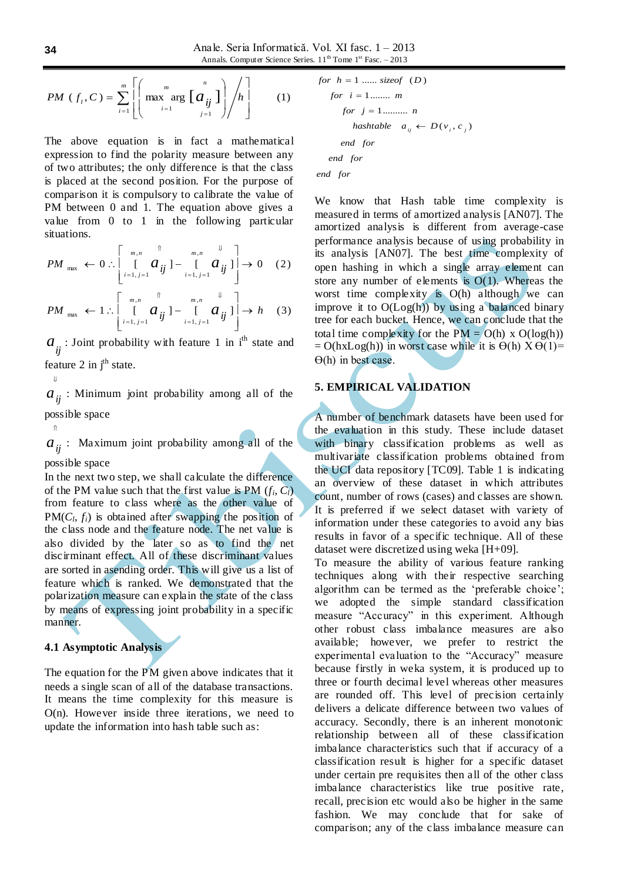$$
PM (f_i, C) = \sum_{i=1}^{m} \left[ \left( \max_{i=1}^{m} \arg \left[ a_{ij} \atop i=1 \right] \right) / h \right] \qquad (1)
$$

The above equation is in fact a mathematical expression to find the polarity measure between any of two attributes; the only difference is that the class is placed at the second position. For the purpose of comparison it is compulsory to calibrate the value of PM between 0 and 1. The equation above gives a value from 0 to 1 in the following particular situations.

$$
PM_{\max} \leftarrow 0: \left[ \begin{array}{cc} \begin{matrix} m, & \hat{\mathbb{1}} \\ \begin{matrix} m, & \hat{\mathbb{1}} \\ \end{matrix} & \begin{matrix} m, & \hat{\mathbb{1}} \\ \vdots & \hat{\mathbb{1}} \end{matrix} \\ \begin{matrix} i=1, j=1 \end{matrix} & \begin{matrix} m, & \hat{\mathbb{1}} \\ \end{matrix} & \begin{matrix} m, & \hat{\mathbb{1}} \\ \end{matrix} \end{array} \right] \rightarrow 0 \quad (2)
$$
\n
$$
PM_{\max} \leftarrow 1: \left[ \begin{matrix} m, & \hat{\mathbb{1}} \\ \begin{matrix} m, & \hat{\mathbb{1}} \\ \vdots & \hat{\mathbb{1}} \end{matrix} & \begin{matrix} m, & \hat{\mathbb{1}} \\ \vdots & \hat{\mathbb{1}} \end{matrix} & \begin{matrix} m, & \hat{\mathbb{1}} \\ \vdots & \hat{\mathbb{1}} \end{matrix} \end{matrix} \right] \rightarrow h \quad (3)
$$

 $\begin{bmatrix} i=1, j=1 & \mathcal{Y} & i=1, j=1 & \mathcal{Y} \end{bmatrix}$ L  $a_{ij}$ : Joint probability with feature 1 in i<sup>th</sup> state and feature 2 in  $i<sup>th</sup>$  state.

 $i = 1, j = 1$   $i = 1, j = 1$ 

 $\overline{\phantom{a}}$ 

⇓

⇑

 $a_{ij}$ : Minimum joint probability among all of the possible space

 $a_{ij}$ : Maximum joint probability among all of the

possible space

In the next two step, we shall calculate the difference of the PM value such that the first value is PM  $(f_i, C_i)$ from feature to class where as the other value of  $PM(C_l, f_i)$  is obtained after swapping the position of the class node and the feature node. The net value is also divided by the later so as to find the net discirminant effect. All of these discriminant values are sorted in asending order. This will give us a list of feature which is ranked. We demonstrated that the polarization measure can explain the state of the class by means of expressing joint probability in a specific manner.

## **4.1 Asymptotic Analysis**

The equation for the PM given above indicates that it needs a single scan of all of the database transactions. It means the time complexity for this measure is O(n). However inside three iterations, we need to update the information into hash table such as:

*end for end for end for hashtable*  $a_{ij} \leftarrow D(v_i, c_j)$ *for*  $j = 1$ .......... *n for*  $i = 1$ ........ *m for*  $h = 1$  ...... *sizeof*  $(D)$ 

We know that Hash table time complexity is measured in terms of amortized analysis [AN07]. The amortized analysis is different from average-case performance analysis because of using probability in its analysis [AN07]. The best time complexity of open hashing in which a single array element can store any number of elements is  $O(1)$ . Whereas the worst time complexity is O(h) although we can improve it to  $O(Log(h))$  by using a balanced binary tree for each bucket. Hence, we can conclude that the total time complexity for the  $PM = O(h) \times O(\log(h))$  $= O(hxLog(h))$  in worst case while it is  $\Theta(h)$   $X \Theta(1) =$  $\Theta(h)$  in best case.

# **5. EMPIRICAL VALIDATION**

A number of benchmark datasets have been used for the evaluation in this study. These include dataset with binary classification problems as well as multivariate classification problems obtained from the UCI data repository [TC09]. Table 1 is indicating an overview of these dataset in which attributes count, number of rows (cases) and classes are shown. It is preferred if we select dataset with variety of information under these categories to avoid any bias results in favor of a specific technique. All of these dataset were discretized using weka [H+09].

To measure the ability of various feature ranking techniques along with their respective searching algorithm can be termed as the 'preferable choice'; we adopted the simple standard classification measure "Accuracy" in this experiment. Although other robust class imbalance measures are also available; however, we prefer to restrict the experimental evaluation to the "Accuracy" measure because firstly in weka system, it is produced up to three or fourth decimal level whereas other measures are rounded off. This level of precision certainly delivers a delicate difference between two values of accuracy. Secondly, there is an inherent monotonic relationship between all of these classification imbalance characteristics such that if accuracy of a classification result is higher for a specific dataset under certain pre requisites then all of the other class imbalance characteristics like true positive rate, recall, precision etc would also be higher in the same fashion. We may conclude that for sake of comparison; any of the class imbalance measure can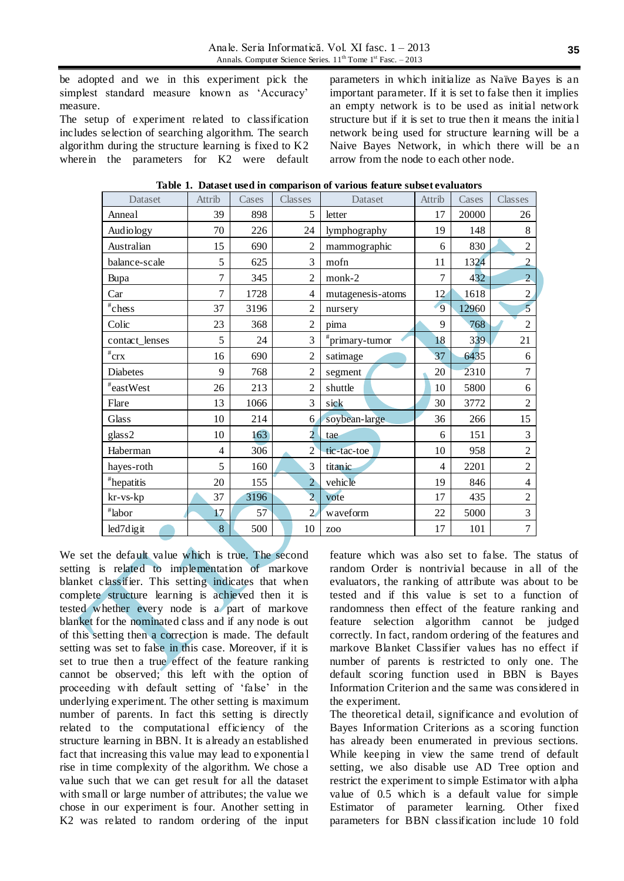be adopted and we in this experiment pick the simplest standard measure known as 'Accuracy' measure.

The setup of experiment related to classification includes selection of searching algorithm. The search algorithm during the structure learning is fixed to K2 where in the parameters for K2 were default

parameters in which initialize as Naïve Bayes is an important parameter. If it is set to false then it implies an empty network is to be used as initial network structure but if it is set to true then it means the initia l network being used for structure learning will be a Naive Bayes Network, in which there will be an arrow from the node to each other node.

| Dataset              | Attrib                   | Cases | Classes        | Dataset           | Attrib | Cases | Classes        |
|----------------------|--------------------------|-------|----------------|-------------------|--------|-------|----------------|
| Anneal               | 39                       | 898   | 5              | letter            | 17     | 20000 | 26             |
| Audiology            | 70                       | 226   | 24             | lymphography      | 19     | 148   | 8              |
| Australian           | 15                       | 690   | $\overline{2}$ | mammographic      | 6      | 830   | $\overline{2}$ |
| balance-scale        | 5                        | 625   | 3              | mofn              | 11     | 1324  | $\overline{2}$ |
| Bupa                 | $\tau$                   | 345   | $\overline{2}$ | monk-2            | 7      | 432   | $\overline{2}$ |
| Car                  | 7                        | 1728  | $\overline{4}$ | mutagenesis-atoms | 12     | 1618  | $\overline{c}$ |
| $^{\text{\#}}$ chess | 37                       | 3196  | $\overline{2}$ | nursery           | 9      | 12960 | $\overline{5}$ |
| Colic                | 23                       | 368   | $\overline{2}$ | pima              | 9      | 768   | $\overline{2}$ |
| contact_lenses       | 5                        | 24    | 3              | $*$ primary-tumor | 18     | 339   | 21             |
| $\sqrt[#cry]{crx}$   | 16                       | 690   | $\overline{2}$ | satimage          | 37     | 6435  | 6              |
| Diabetes             | 9                        | 768   | $\overline{2}$ | segment           | 20     | 2310  | 7              |
| $^*$ eastWest        | 26                       | 213   | $\overline{2}$ | shuttle           | 10     | 5800  | 6              |
| Flare                | 13                       | 1066  | 3              | sick              | 30     | 3772  | $\overline{2}$ |
| Glass                | 10                       | 214   | 6              | soybean-large     | 36     | 266   | 15             |
| glass2               | 10                       | 163   | $\overline{2}$ | tae               | 6      | 151   | 3              |
| Haberman             | $\overline{\mathcal{L}}$ | 306   | $\overline{2}$ | tic-tac-toe       | 10     | 958   | $\overline{c}$ |
| hayes-roth           | 5                        | 160   | 3              | titan ic          | 4      | 2201  | $\overline{2}$ |
| <i>*</i> hepatitis   | 20                       | 155   | $\overline{2}$ | vehicle           | 19     | 846   | 4              |
| kr-vs-kp             | 37                       | 3196  | $\overline{2}$ | vote              | 17     | 435   | $\overline{2}$ |
| $"$ labor            | 17                       | 57    | $\overline{2}$ | waveform          | 22     | 5000  | 3              |
| led7digit            | 8                        | 500   | 10             | ZOO               | 17     | 101   | $\overline{7}$ |

**Table 1. Dataset used in comparison of various feature subset evaluators**

We set the default value which is true. The second setting is related to implementation of markove blanket classifier. This setting indicates that when complete structure learning is achieved then it is tested whether every node is a part of markove blanket for the nominated class and if any node is out of this setting then a correction is made. The default setting was set to false in this case. Moreover, if it is set to true then a true effect of the feature ranking cannot be observed; this left with the option of proceeding with default setting of "false" in the underlying experiment. The other setting is maximum number of parents. In fact this setting is directly related to the computational efficiency of the structure learning in BBN. It is already an established fact that increasing this value may lead to exponentia l rise in time complexity of the algorithm. We chose a value such that we can get result for all the dataset with small or large number of attributes; the value we chose in our experiment is four. Another setting in K2 was related to random ordering of the input

feature which was also set to false. The status of random Order is nontrivial because in all of the evaluators, the ranking of attribute was about to be tested and if this value is set to a function of randomness then effect of the feature ranking and feature selection algorithm cannot be judged correctly. In fact, random ordering of the features and markove Blanket Classifier values has no effect if number of parents is restricted to only one. The default scoring function used in BBN is Bayes Information Criterion and the same was considered in the experiment.

The theoretical detail, significance and evolution of Bayes Information Criterions as a scoring function has already been enumerated in previous sections. While keeping in view the same trend of default setting, we also disable use AD Tree option and restrict the experiment to simple Estimator with alpha value of 0.5 which is a default value for simple Estimator of parameter learning. Other fixed parameters for BBN classification include 10 fold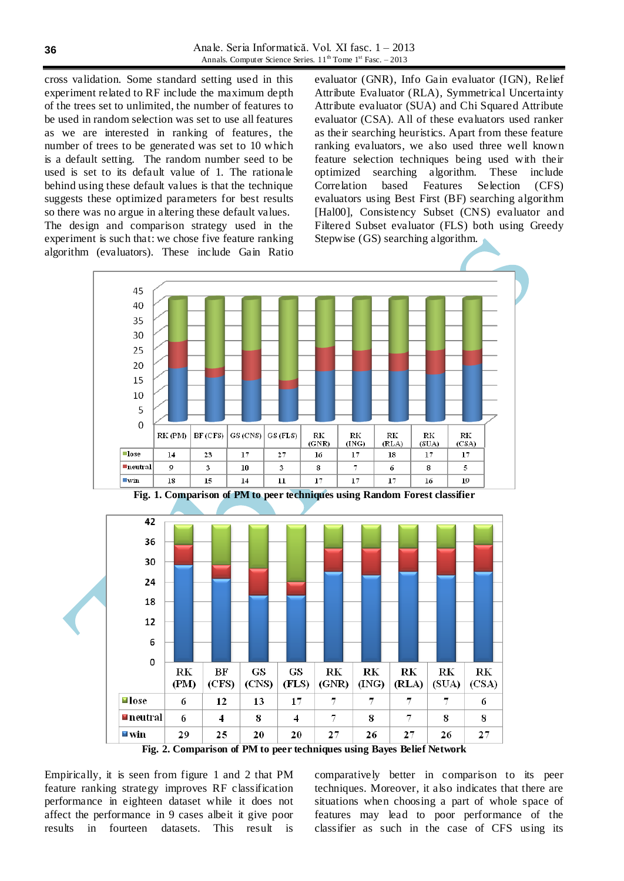cross validation. Some standard setting used in this experiment related to RF include the maximum depth of the trees set to unlimited, the number of features to be used in random selection was set to use all features as we are interested in ranking of features, the number of trees to be generated was set to 10 which is a default setting. The random number seed to be used is set to its default value of 1. The rationale behind using these default values is that the technique suggests these optimized parameters for best results so there was no argue in altering these default values. The design and comparison strategy used in the experiment is such that: we chose five feature ranking

evaluator (GNR), Info Gain evaluator (IGN), Relief Attribute Evaluator (RLA), Symmetrical Uncertainty Attribute evaluator (SUA) and Chi Squared Attribute evaluator (CSA). All of these evaluators used ranker as their searching heuristics. Apart from these feature ranking evaluators, we also used three well known feature selection techniques being used with their optimized searching algorithm. These include Correlation based Features Selection (CFS) evaluators using Best First (BF) searching algorithm [Hal00], Consistency Subset (CNS) evaluator and Filtered Subset evaluator (FLS) both using Greedy Stepwise (GS) searching algorithm.



**Fig. 1. Comparison of PM to peer techniques using Random Forest classifier**



**Fig. 2. Comparison of PM to peer techniques using Bayes Belief Network**

Empirically, it is seen from figure 1 and 2 that PM feature ranking strategy improves RF classification performance in eighteen dataset while it does not affect the performance in 9 cases albeit it give poor results in fourteen datasets. This result is

comparatively better in comparison to its peer techniques. Moreover, it also indicates that there are situations when choosing a part of whole space of features may lead to poor performance of the classifier as such in the case of CFS using its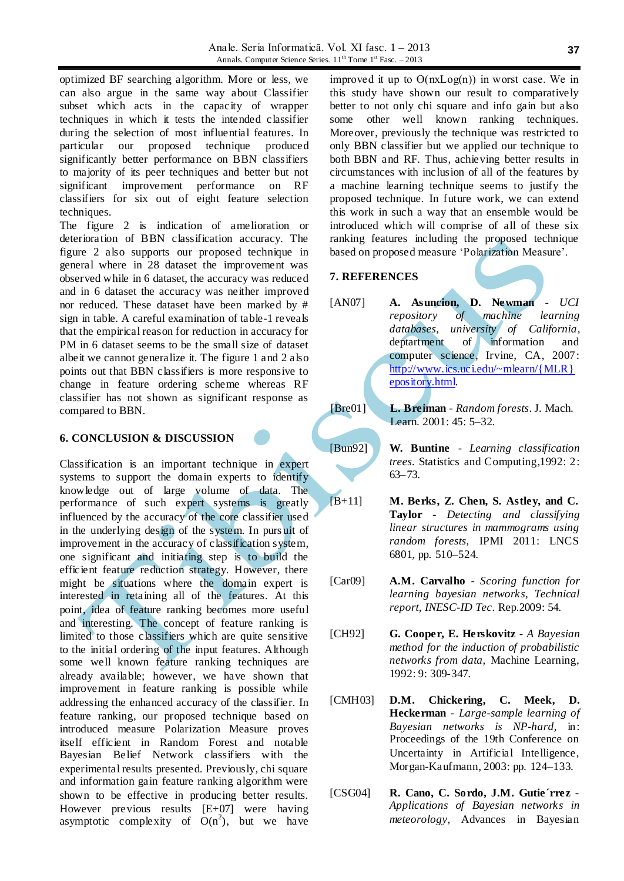optimized BF searching algorithm. More or less, we can also argue in the same way about Classifier subset which acts in the capacity of wrapper techniques in which it tests the intended classifier during the selection of most influential features. In particular our proposed technique produced significantly better performance on BBN classifiers to majority of its peer techniques and better but not significant improvement performance on RF classifiers for six out of eight feature selection techniques.

The figure 2 is indication of amelioration or deterioration of BBN classification accuracy. The figure 2 also supports our proposed technique in general where in 28 dataset the improvement was observed while in 6 dataset, the accuracy was reduced and in 6 dataset the accuracy was neither improved nor reduced. These dataset have been marked by # sign in table. A careful examination of table-1 reveals that the empirical reason for reduction in accuracy for PM in 6 dataset seems to be the small size of dataset albeit we cannot generalize it. The figure 1 and 2 also points out that BBN classifiers is more responsive to change in feature ordering scheme whereas RF classifier has not shown as significant response as compared to BBN.

#### **6. CONCLUSION & DISCUSSION**

Classification is an important technique in expert systems to support the domain experts to identify knowledge out of large volume of data. The performance of such expert systems is greatly influenced by the accuracy of the core classifier used in the underlying design of the system. In pursuit of improvement in the accuracy of classification system, one significant and initiating step is to build the efficient feature reduction strategy. However, there might be situations where the domain expert is interested in retaining all of the features. At this point, idea of feature ranking becomes more useful and interesting. The concept of feature ranking is limited to those classifiers which are quite sensitive to the initial ordering of the input features. Although some well known feature ranking techniques are already available; however, we have shown that improvement in feature ranking is possible while addressing the enhanced accuracy of the classifier. In feature ranking, our proposed technique based on introduced measure Polarization Measure proves itself efficient in Random Forest and notable Bayesian Belief Network classifiers with the experimental results presented. Previously, chi square and information gain feature ranking algorithm were shown to be effective in producing better results. However previous results [E+07] were having asymptotic complexity of  $O(n^2)$ , but we have

improved it up to  $\Theta$ (nxLog(n)) in worst case. We in this study have shown our result to comparatively better to not only chi square and info gain but also some other well known ranking techniques. Moreover, previously the technique was restricted to only BBN classifier but we applied our technique to both BBN and RF. Thus, achieving better results in circumstances with inclusion of all of the features by a machine learning technique seems to justify the proposed technique. In future work, we can extend this work in such a way that an ensemble would be introduced which will comprise of all of these six ranking features including the proposed technique based on proposed measure "Polarization Measure".

#### **7. REFERENCES**

- [AN07] **A. Asuncion, D. Newman** *UCI repository of machine learning databases, university of California*, deptartment of information and computer science, Irvine, CA, 2007: [http://www.ics.uci.edu/~mlearn/{MLR}](http://www.ics.uci.edu/~mlearn/%7bMLR%7depository.html) [epository.html.](http://www.ics.uci.edu/~mlearn/%7bMLR%7depository.html)
- [Bre01] **L. Breiman** *Random forests*. J. Mach. Learn. 2001: 45: 5–32.
- [Bun92] **W. Buntine** *Learning classification trees.* Statistics and Computing,1992: 2: 63–73.
- [B+11] **M. Berks, Z. Chen, S. Astley, and C. Taylor** - *Detecting and classifying linear structures in mammograms using random forests,* IPMI 2011: LNCS 6801, pp. 510–524.
- [Car09] **A.M. Carvalho** *Scoring function for learning bayesian networks, Technical report, INESC-ID Tec*. Rep.2009: 54.
- [CH92] **G. Cooper, E. Herskovitz** *A Bayesian method for the induction of probabilistic networks from data,* Machine Learning, 1992: 9: 309-347.
- [CMH03] **D.M. Chickering, C. Meek, D. Heckerman** - *Large-sample learning of Bayesian networks is NP-hard,* in: Proceedings of the 19th Conference on Uncertainty in Artificial Intelligence, Morgan-Kaufmann, 2003: pp. 124–133.
- [CSG04] **R. Cano, C. Sordo, J.M. Gutie´rrez** *Applications of Bayesian networks in meteorology,* Advances in Bayesian